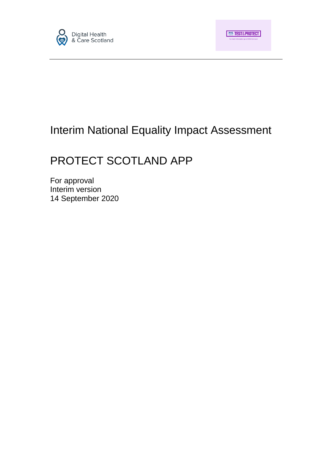

# Interim National Equality Impact Assessment

# PROTECT SCOTLAND APP

For approval Interim version 14 September 2020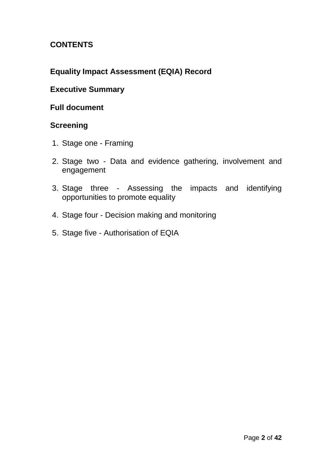# **CONTENTS**

# **Equality Impact Assessment (EQIA) Record**

# **Executive Summary**

# **Full document**

# **Screening**

- 1. Stage one Framing
- 2. Stage two Data and evidence gathering, involvement and engagement
- 3. Stage three Assessing the impacts and identifying opportunities to promote equality
- 4. Stage four Decision making and monitoring
- 5. Stage five Authorisation of EQIA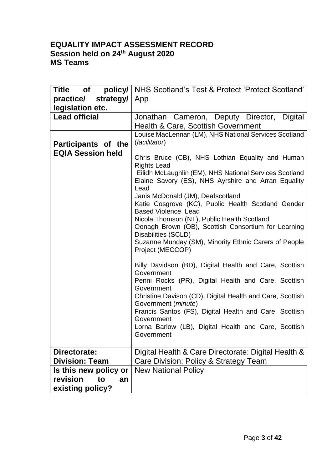# **EQUALITY IMPACT ASSESSMENT RECORD Session held on 24th August 2020 MS Teams**

| Title of<br>policy/<br>practice/ strategy/<br>legislation etc. | NHS Scotland's Test & Protect 'Protect Scotland'<br>App                                                                                                                                                                                                                                                                                                                                                                                                                                                                                                                                                                                                                                                                                                                                                                                                                                                                                                                                     |
|----------------------------------------------------------------|---------------------------------------------------------------------------------------------------------------------------------------------------------------------------------------------------------------------------------------------------------------------------------------------------------------------------------------------------------------------------------------------------------------------------------------------------------------------------------------------------------------------------------------------------------------------------------------------------------------------------------------------------------------------------------------------------------------------------------------------------------------------------------------------------------------------------------------------------------------------------------------------------------------------------------------------------------------------------------------------|
| <b>Lead official</b>                                           | Jonathan Cameron, Deputy Director, Digital<br>Health & Care, Scottish Government                                                                                                                                                                                                                                                                                                                                                                                                                                                                                                                                                                                                                                                                                                                                                                                                                                                                                                            |
| Participants of the<br><b>EQIA Session held</b>                | Louise MacLennan (LM), NHS National Services Scotland<br>(facilitator)<br>Chris Bruce (CB), NHS Lothian Equality and Human<br><b>Rights Lead</b><br>Eilidh McLaughlin (EM), NHS National Services Scotland<br>Elaine Savory (ES), NHS Ayrshire and Arran Equality<br>Lead<br>Janis McDonald (JM), Deafscotland<br>Katie Cosgrove (KC), Public Health Scotland Gender<br><b>Based Violence Lead</b><br>Nicola Thomson (NT), Public Health Scotland<br>Oonagh Brown (OB), Scottish Consortium for Learning<br>Disabilities (SCLD)<br>Suzanne Munday (SM), Minority Ethnic Carers of People<br>Project (MECCOP)<br>Billy Davidson (BD), Digital Health and Care, Scottish<br>Government<br>Penni Rocks (PR), Digital Health and Care, Scottish<br>Government<br>Christine Davison (CD), Digital Health and Care, Scottish<br>Government (minute)<br>Francis Santos (FS), Digital Health and Care, Scottish<br>Government<br>Lorna Barlow (LB), Digital Health and Care, Scottish<br>Government |
| Directorate:                                                   | Digital Health & Care Directorate: Digital Health &                                                                                                                                                                                                                                                                                                                                                                                                                                                                                                                                                                                                                                                                                                                                                                                                                                                                                                                                         |
| <b>Division: Team</b>                                          | Care Division: Policy & Strategy Team                                                                                                                                                                                                                                                                                                                                                                                                                                                                                                                                                                                                                                                                                                                                                                                                                                                                                                                                                       |
| Is this new policy or                                          | <b>New National Policy</b>                                                                                                                                                                                                                                                                                                                                                                                                                                                                                                                                                                                                                                                                                                                                                                                                                                                                                                                                                                  |
| revision<br>to<br>an                                           |                                                                                                                                                                                                                                                                                                                                                                                                                                                                                                                                                                                                                                                                                                                                                                                                                                                                                                                                                                                             |
| existing policy?                                               |                                                                                                                                                                                                                                                                                                                                                                                                                                                                                                                                                                                                                                                                                                                                                                                                                                                                                                                                                                                             |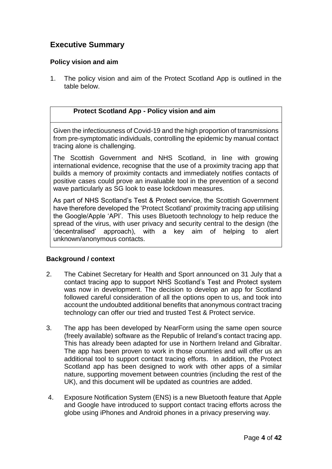# **Executive Summary**

#### **Policy vision and aim**

1. The policy vision and aim of the Protect Scotland App is outlined in the table below.

#### **Protect Scotland App - Policy vision and aim**

Given the infectiousness of Covid-19 and the high proportion of transmissions from pre-symptomatic individuals, controlling the epidemic by manual contact tracing alone is challenging.

The Scottish Government and NHS Scotland, in line with growing international evidence, recognise that the use of a proximity tracing app that builds a memory of proximity contacts and immediately notifies contacts of positive cases could prove an invaluable tool in the prevention of a second wave particularly as SG look to ease lockdown measures.

As part of NHS Scotland's Test & Protect service, the Scottish Government have therefore developed the 'Protect Scotland' proximity tracing app utilising the Google/Apple 'API'. This uses Bluetooth technology to help reduce the spread of the virus, with user privacy and security central to the design (the 'decentralised' approach), with a key aim of helping to alert unknown/anonymous contacts.

#### **Background / context**

- 2. The Cabinet Secretary for Health and Sport announced on 31 July that a contact tracing app to support NHS Scotland's Test and Protect system was now in development. The decision to develop an app for Scotland followed careful consideration of all the options open to us, and took into account the undoubted additional benefits that anonymous contract tracing technology can offer our tried and trusted Test & Protect service.
- 3. The app has been developed by NearForm using the same open source (freely available) software as the Republic of Ireland's contact tracing app. This has already been adapted for use in Northern Ireland and Gibraltar. The app has been proven to work in those countries and will offer us an additional tool to support contact tracing efforts. In addition, the Protect Scotland app has been designed to work with other apps of a similar nature, supporting movement between countries (including the rest of the UK), and this document will be updated as countries are added.
- 4. Exposure Notification System (ENS) is a new Bluetooth feature that Apple and Google have introduced to support contact tracing efforts across the globe using iPhones and Android phones in a privacy preserving way.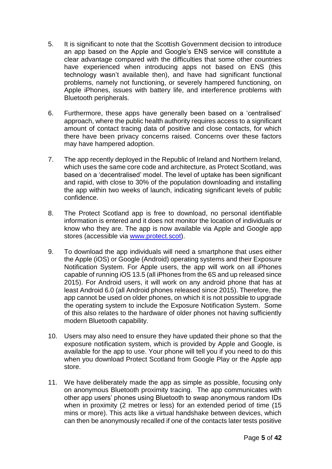- 5. It is significant to note that the Scottish Government decision to introduce an app based on the Apple and Google's ENS service will constitute a clear advantage compared with the difficulties that some other countries have experienced when introducing apps not based on ENS (this technology wasn't available then), and have had significant functional problems, namely not functioning, or severely hampered functioning, on Apple iPhones, issues with battery life, and interference problems with Bluetooth peripherals.
- 6. Furthermore, these apps have generally been based on a 'centralised' approach, where the public health authority requires access to a significant amount of contact tracing data of positive and close contacts, for which there have been privacy concerns raised. Concerns over these factors may have hampered adoption.
- 7. The app recently deployed in the Republic of Ireland and Northern Ireland, which uses the same core code and architecture, as Protect Scotland, was based on a 'decentralised' model. The level of uptake has been significant and rapid, with close to 30% of the population downloading and installing the app within two weeks of launch, indicating significant levels of public confidence.
- 8. The Protect Scotland app is free to download, no personal identifiable information is entered and it does not monitor the location of individuals or know who they are. The app is now available via Apple and Google app stores (accessible via [www.protect.scot\)](http://www.protect.scot/).
- 9. To download the app individuals will need a smartphone that uses either the Apple (iOS) or Google (Android) operating systems and their Exposure Notification System. For Apple users, the app will work on all iPhones capable of running iOS 13.5 (all iPhones from the 6S and up released since 2015). For Android users, it will work on any android phone that has at least Android 6.0 (all Android phones released since 2015). Therefore, the app cannot be used on older phones, on which it is not possible to upgrade the operating system to include the Exposure Notification System. Some of this also relates to the hardware of older phones not having sufficiently modern Bluetooth capability.
- 10. Users may also need to ensure they have updated their phone so that the exposure notification system, which is provided by Apple and Google, is available for the app to use. Your phone will tell you if you need to do this when you download Protect Scotland from Google Play or the Apple app store.
- 11. We have deliberately made the app as simple as possible, focusing only on anonymous Bluetooth proximity tracing. The app communicates with other app users' phones using Bluetooth to swap anonymous random IDs when in proximity (2 metres or less) for an extended period of time (15 mins or more). This acts like a virtual handshake between devices, which can then be anonymously recalled if one of the contacts later tests positive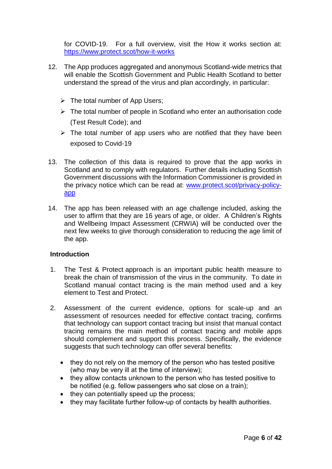for COVID-19. For a full overview, visit the How it works section at: <https://www.protect.scot/how-it-works>

- 12. The App produces aggregated and anonymous Scotland-wide metrics that will enable the Scottish Government and Public Health Scotland to better understand the spread of the virus and plan accordingly, in particular:
	- $\triangleright$  The total number of App Users;
	- $\triangleright$  The total number of people in Scotland who enter an authorisation code (Test Result Code); and
	- $\triangleright$  The total number of app users who are notified that they have been exposed to Covid-19
- 13. The collection of this data is required to prove that the app works in Scotland and to comply with regulators. Further details including Scottish Government discussions with the Information Commissioner is provided in the privacy notice which can be read at: [www.protect.scot/privacy-policy](http://www.protect.scot/privacy-policy-app)[app](http://www.protect.scot/privacy-policy-app)
- 14. The app has been released with an age challenge included, asking the user to affirm that they are 16 years of age, or older. A Children's Rights and Wellbeing Impact Assessment (CRWIA) will be conducted over the next few weeks to give thorough consideration to reducing the age limit of the app.

#### **Introduction**

- 1. The Test & Protect approach is an important public health measure to break the chain of transmission of the virus in the community. To date in Scotland manual contact tracing is the main method used and a key element to Test and Protect.
- 2. Assessment of the current evidence, options for scale-up and an assessment of resources needed for effective contact tracing, confirms that technology can support contact tracing but insist that manual contact tracing remains the main method of contact tracing and mobile apps should complement and support this process. Specifically, the evidence suggests that such technology can offer several benefits:
	- they do not rely on the memory of the person who has tested positive (who may be very ill at the time of interview);
	- they allow contacts unknown to the person who has tested positive to be notified (e.g. fellow passengers who sat close on a train);
	- they can potentially speed up the process;
	- they may facilitate further follow-up of contacts by health authorities.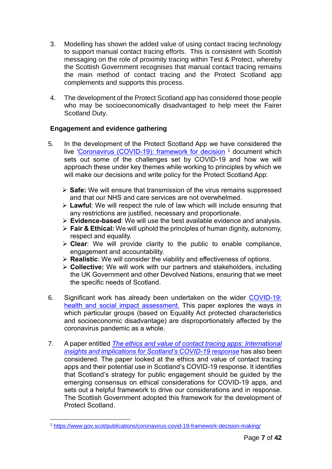- 3. Modelling has shown the added value of using contact tracing technology to support manual contact tracing efforts. This is consistent with Scottish messaging on the role of proximity tracing within Test & Protect, whereby the Scottish Government recognises that manual contact tracing remains the main method of contact tracing and the Protect Scotland app complements and supports this process.
- 4. The development of the Protect Scotland app has considered those people who may be socioeconomically disadvantaged to help meet the Fairer Scotland Duty.

#### **Engagement and evidence gathering**

- 5. In the development of the Protect Scotland App we have considered the live ['Coronavirus \(COVID-19\): framework for decision](https://www.gov.scot/publications/coronavirus-covid-19-framework-decision-making/) <sup>1</sup> document which sets out some of the challenges set by COVID-19 and how we will approach these under key themes while working to principles by which we will make our decisions and write policy for the Protect Scotland App:
	- **Safe:** We will ensure that transmission of the virus remains suppressed and that our NHS and care services are not overwhelmed.
	- **Lawful**: We will respect the rule of law which will include ensuring that any restrictions are justified, necessary and proportionate.
	- **Evidence-based**: We will use the best available evidence and analysis.
	- **Fair & Ethical:** We will uphold the principles of human dignity, autonomy, respect and equality.
	- **Clear**: We will provide clarity to the public to enable compliance, engagement and accountability.
	- **Realistic**: We will consider the viability and effectiveness of options.
	- **Collective:** We will work with our partners and stakeholders, including the UK Government and other Devolved Nations, ensuring that we meet the specific needs of Scotland.
- 6. Significant work has already been undertaken on the wider [COVID-19:](https://www.gov.scot/publications/covid-19-health-and-social-impact-assessment/)  [health and social impact assessment.](https://www.gov.scot/publications/covid-19-health-and-social-impact-assessment/) This paper explores the ways in which particular groups (based on Equality Act protected characteristics and socioeconomic disadvantage) are disproportionately affected by the coronavirus pandemic as a whole.
- 7. A paper entitled *[The ethics and value of contact tracing apps: International](http://www.jogh.org/documents/issue202002/jogh-10-020103.htm)  [insights and implications for Scotland's COVID-19 response](http://www.jogh.org/documents/issue202002/jogh-10-020103.htm)* has also been considered. The paper looked at the ethics and value of contact tracing apps and their potential use in Scotland's COVID-19 response. It identifies that Scotland's strategy for public engagement should be guided by the emerging consensus on ethical considerations for COVID-19 apps, and sets out a helpful framework to drive our considerations and in response. The Scottish Government adopted this framework for the development of Protect Scotland.

<sup>1</sup> <sup>1</sup> <https://www.gov.scot/publications/coronavirus-covid-19-framework-decision-making/>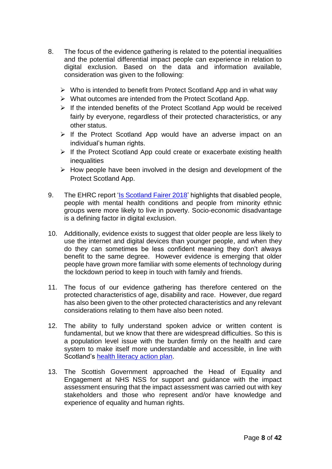- 8. The focus of the evidence gathering is related to the potential inequalities and the potential differential impact people can experience in relation to digital exclusion. Based on the data and information available, consideration was given to the following:
	- $\triangleright$  Who is intended to benefit from Protect Scotland App and in what way
	- $\triangleright$  What outcomes are intended from the Protect Scotland App.
	- $\triangleright$  If the intended benefits of the Protect Scotland App would be received fairly by everyone, regardless of their protected characteristics, or any other status.
	- $\triangleright$  If the Protect Scotland App would have an adverse impact on an individual's human rights.
	- $\triangleright$  If the Protect Scotland App could create or exacerbate existing health inequalities
	- $\triangleright$  How people have been involved in the design and development of the Protect Scotland App.
- 9. The EHRC report ['Is Scotland Fairer 2018'](https://www.equalityhumanrights.com/en/publication-download/scotland-fairer-2018) highlights that disabled people, people with mental health conditions and people from minority ethnic groups were more likely to live in poverty. Socio-economic disadvantage is a defining factor in digital exclusion.
- 10. Additionally, evidence exists to suggest that older people are less likely to use the internet and digital devices than younger people, and when they do they can sometimes be less confident meaning they don't always benefit to the same degree. However evidence is emerging that older people have grown more familiar with some elements of technology during the lockdown period to keep in touch with family and friends.
- 11. The focus of our evidence gathering has therefore centered on the protected characteristics of age, disability and race. However, due regard has also been given to the other protected characteristics and any relevant considerations relating to them have also been noted.
- 12. The ability to fully understand spoken advice or written content is fundamental, but we know that there are widespread difficulties. So this is a population level issue with the burden firmly on the health and care system to make itself more understandable and accessible, in line with Scotland's [health literacy action plan.](https://www2.gov.scot/Resource/0052/00528139.pdf)
- 13. The Scottish Government approached the Head of Equality and Engagement at NHS NSS for support and guidance with the impact assessment ensuring that the impact assessment was carried out with key stakeholders and those who represent and/or have knowledge and experience of equality and human rights.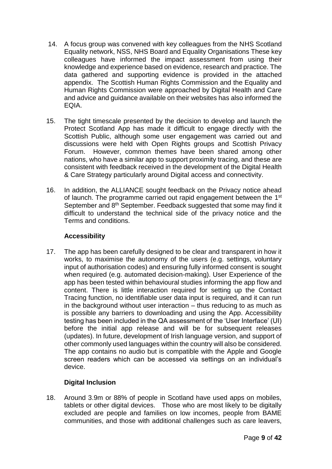- 14. A focus group was convened with key colleagues from the NHS Scotland Equality network, NSS, NHS Board and Equality Organisations These key colleagues have informed the impact assessment from using their knowledge and experience based on evidence, research and practice. The data gathered and supporting evidence is provided in the attached appendix. The Scottish Human Rights Commission and the Equality and Human Rights Commission were approached by Digital Health and Care and advice and guidance available on their websites has also informed the EQIA.
- 15. The tight timescale presented by the decision to develop and launch the Protect Scotland App has made it difficult to engage directly with the Scottish Public, although some user engagement was carried out and discussions were held with Open Rights groups and Scottish Privacy Forum. However, common themes have been shared among other nations, who have a similar app to support proximity tracing, and these are consistent with feedback received in the development of the Digital Health & Care Strategy particularly around Digital access and connectivity.
- 16. In addition, the ALLIANCE sought feedback on the Privacy notice ahead of launch. The programme carried out rapid engagement between the 1<sup>st</sup> September and 8<sup>th</sup> September. Feedback suggested that some may find it difficult to understand the technical side of the privacy notice and the Terms and conditions.

#### **Accessibility**

17. The app has been carefully designed to be clear and transparent in how it works, to maximise the autonomy of the users (e.g. settings, voluntary input of authorisation codes) and ensuring fully informed consent is sought when required (e.g. automated decision-making). User Experience of the app has been tested within behavioural studies informing the app flow and content. There is little interaction required for setting up the Contact Tracing function, no identifiable user data input is required, and it can run in the background without user interaction – thus reducing to as much as is possible any barriers to downloading and using the App. Accessibility testing has been included in the QA assessment of the 'User Interface' (UI) before the initial app release and will be for subsequent releases (updates). In future, development of Irish language version, and support of other commonly used languages within the country will also be considered. The app contains no audio but is compatible with the Apple and Google screen readers which can be accessed via settings on an individual's device.

#### **Digital Inclusion**

18. Around 3.9m or 88% of people in Scotland have used apps on mobiles, tablets or other digital devices. Those who are most likely to be digitally excluded are people and families on low incomes, people from BAME communities, and those with additional challenges such as care leavers,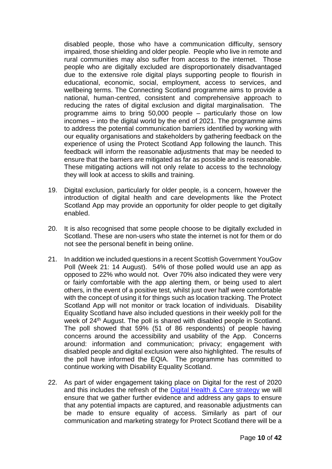disabled people, those who have a communication difficulty, sensory impaired, those shielding and older people. People who live in remote and rural communities may also suffer from access to the internet. Those people who are digitally excluded are disproportionately disadvantaged due to the extensive role digital plays supporting people to flourish in educational, economic, social, employment, access to services, and wellbeing terms. The Connecting Scotland programme aims to provide a national, human-centred, consistent and comprehensive approach to reducing the rates of digital exclusion and digital marginalisation. The programme aims to bring 50,000 people – particularly those on low incomes – into the digital world by the end of 2021. The programme aims to address the potential communication barriers identified by working with our equality organisations and stakeholders by gathering feedback on the experience of using the Protect Scotland App following the launch. This feedback will inform the reasonable adjustments that may be needed to ensure that the barriers are mitigated as far as possible and is reasonable. These mitigating actions will not only relate to access to the technology they will look at access to skills and training.

- 19. Digital exclusion, particularly for older people, is a concern, however the introduction of digital health and care developments like the Protect Scotland App may provide an opportunity for older people to get digitally enabled.
- 20. It is also recognised that some people choose to be digitally excluded in Scotland. These are non-users who state the internet is not for them or do not see the personal benefit in being online.
- 21. In addition we included questions in a recent Scottish Government YouGov Poll (Week 21: 14 August). 54% of those polled would use an app as opposed to 22% who would not. Over 70% also indicated they were very or fairly comfortable with the app alerting them, or being used to alert others, in the event of a positive test, whilst just over half were comfortable with the concept of using it for things such as location tracking. The Protect Scotland App will not monitor or track location of individuals. Disability Equality Scotland have also included questions in their weekly poll for the week of 24<sup>th</sup> August. The poll is shared with disabled people in Scotland. The poll showed that 59% (51 of 86 respondents) of people having concerns around the accessibility and usability of the App. Concerns around: information and communication; privacy; engagement with disabled people and digital exclusion were also highlighted. The results of the poll have informed the EQIA. The programme has committed to continue working with Disability Equality Scotland.
- 22. As part of wider engagement taking place on Digital for the rest of 2020 and this includes the refresh of the [Digital Health & Care strategy](https://www.gov.scot/publications/scotlands-digital-health-care-strategy-enabling-connecting-empowering/) we will ensure that we gather further evidence and address any gaps to ensure that any potential impacts are captured, and reasonable adjustments can be made to ensure equality of access. Similarly as part of our communication and marketing strategy for Protect Scotland there will be a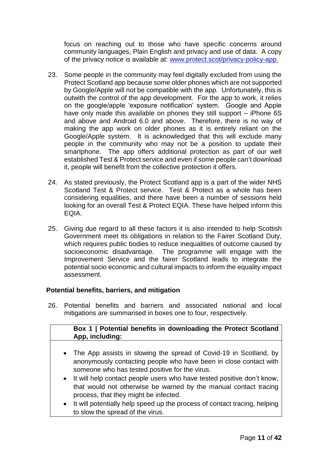focus on reaching out to those who have specific concerns around community languages, Plain English and privacy and use of data. A copy of the privacy notice is available at: [www.protect.scot/privacy-policy-app.](http://www.protect.scot/privacy-policy-app)

- 23. Some people in the community may feel digitally excluded from using the Protect Scotland app because some older phones which are not supported by Google/Apple will not be compatible with the app. Unfortunately, this is outwith the control of the app development. For the app to work, it relies on the google/apple 'exposure notification' system. Google and Apple have only made this available on phones they still support – iPhone 6S and above and Android 6.0 and above. Therefore, there is no way of making the app work on older phones as it is entirely reliant on the Google/Apple system. It is acknowledged that this will exclude many people in the community who may not be a position to update their smartphone. The app offers additional protection as part of our well established Test & Protect service and even if some people can't download it, people will benefit from the collective protection it offers.
- 24. As stated previously, the Protect Scotland app is a part of the wider NHS Scotland Test & Protect service. Test & Protect as a whole has been considering equalities, and there have been a number of sessions held looking for an overall Test & Protect EQIA. These have helped inform this EQIA.
- 25. Giving due regard to all these factors it is also intended to help Scottish Government meet its obligations in relation to the Fairer Scotland Duty, which requires public bodies to reduce inequalities of outcome caused by socioeconomic disadvantage. The programme will engage with the Improvement Service and the fairer Scotland leads to integrate the potential socio economic and cultural impacts to inform the equality impact assessment.

#### **Potential benefits, barriers, and mitigation**

26. Potential benefits and barriers and associated national and local mitigations are summarised in boxes one to four, respectively.

| Box 1   Potential benefits in downloading the Protect Scotland<br>App, including:                                                                                                          |
|--------------------------------------------------------------------------------------------------------------------------------------------------------------------------------------------|
| • The App assists in slowing the spread of Covid-19 in Scotland, by<br>anonymously contacting people who have been in close contact with<br>someone who has tested positive for the virus. |

- It will help contact people users who have tested positive don't know, that would not otherwise be warned by the manual contact tracing process, that they might be infected.
- It will potentially help speed up the process of contact tracing, helping to slow the spread of the virus.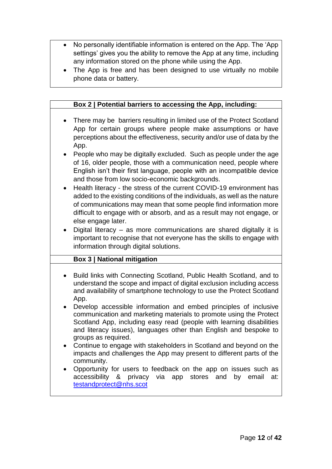- No personally identifiable information is entered on the App. The 'App settings' gives you the ability to remove the App at any time, including any information stored on the phone while using the App.
- The App is free and has been designed to use virtually no mobile phone data or battery.

|           | Box 2   Potential barriers to accessing the App, including:                                                                                                                                                                                                                                                             |
|-----------|-------------------------------------------------------------------------------------------------------------------------------------------------------------------------------------------------------------------------------------------------------------------------------------------------------------------------|
|           | There may be barriers resulting in limited use of the Protect Scotland<br>App for certain groups where people make assumptions or have<br>perceptions about the effectiveness, security and/or use of data by the<br>App.                                                                                               |
|           | People who may be digitally excluded. Such as people under the age<br>of 16, older people, those with a communication need, people where<br>English isn't their first language, people with an incompatible device<br>and those from low socio-economic backgrounds.                                                    |
|           | Health literacy - the stress of the current COVID-19 environment has<br>added to the existing conditions of the individuals, as well as the nature<br>of communications may mean that some people find information more<br>difficult to engage with or absorb, and as a result may not engage, or<br>else engage later. |
|           | Digital literacy - as more communications are shared digitally it is<br>important to recognise that not everyone has the skills to engage with<br>information through digital solutions.                                                                                                                                |
|           | <b>Box 3   National mitigation</b>                                                                                                                                                                                                                                                                                      |
| $\bullet$ | Build links with Connecting Scotland, Public Health Scotland, and to<br>understand the scope and impact of digital exclusion including access<br>and availability of smartphone technology to use the Protect Scotland<br>App.                                                                                          |
|           | Develop accessible information and embed principles of inclusive<br>communication and marketing materials to promote using the Protect<br>Scotland App, including easy read (people with learning disabilities<br>and literacy issues), languages other than English and bespoke to<br>groups as required.              |
|           | Continue to engage with stakeholders in Scotland and beyond on the<br>impacts and challenges the App may present to different parts of the<br>community.                                                                                                                                                                |
|           | Opportunity for users to feedback on the app on issues such as<br>accessibility & privacy via app stores and by email<br>at:<br>testandprotect@nhs.scot                                                                                                                                                                 |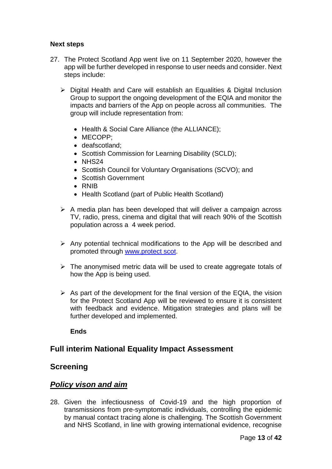#### **Next steps**

- 27. The Protect Scotland App went live on 11 September 2020, however the app will be further developed in response to user needs and consider. Next steps include:
	- ▶ Digital Health and Care will establish an Equalities & Digital Inclusion Group to support the ongoing development of the EQIA and monitor the impacts and barriers of the App on people across all communities. The group will include representation from:
		- Health & Social Care Alliance (the ALLIANCE);
		- MECOPP;
		- deafscotland:
		- Scottish Commission for Learning Disability (SCLD);
		- $\bullet$  NHS24
		- Scottish Council for Voluntary Organisations (SCVO); and
		- Scottish Government
		- RNIB
		- Health Scotland (part of Public Health Scotland)
	- $\triangleright$  A media plan has been developed that will deliver a campaign across TV, radio, press, cinema and digital that will reach 90% of the Scottish population across a 4 week period.
	- $\triangleright$  Any potential technical modifications to the App will be described and promoted through www.protect scot.
	- $\triangleright$  The anonymised metric data will be used to create aggregate totals of how the App is being used.
	- $\triangleright$  As part of the development for the final version of the EQIA, the vision for the Protect Scotland App will be reviewed to ensure it is consistent with feedback and evidence. Mitigation strategies and plans will be further developed and implemented.

**Ends**

## **Full interim National Equality Impact Assessment**

#### **Screening**

#### *Policy vison and aim*

28. Given the infectiousness of Covid-19 and the high proportion of transmissions from pre-symptomatic individuals, controlling the epidemic by manual contact tracing alone is challenging. The Scottish Government and NHS Scotland, in line with growing international evidence, recognise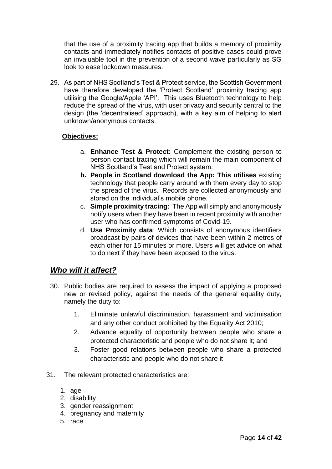that the use of a proximity tracing app that builds a memory of proximity contacts and immediately notifies contacts of positive cases could prove an invaluable tool in the prevention of a second wave particularly as SG look to ease lockdown measures.

29. As part of NHS Scotland's Test & Protect service, the Scottish Government have therefore developed the 'Protect Scotland' proximity tracing app utilising the Google/Apple 'API'. This uses Bluetooth technology to help reduce the spread of the virus, with user privacy and security central to the design (the 'decentralised' approach), with a key aim of helping to alert unknown/anonymous contacts.

#### **Objectives:**

- a. **Enhance Test & Protect:** Complement the existing person to person contact tracing which will remain the main component of NHS Scotland's Test and Protect system.
- **b. People in Scotland download the App: This utilises** existing technology that people carry around with them every day to stop the spread of the virus. Records are collected anonymously and stored on the individual's mobile phone.
- c. **Simple proximity tracing:** The App will simply and anonymously notify users when they have been in recent proximity with another user who has confirmed symptoms of Covid-19.
- d. **Use Proximity data**: Which consists of anonymous identifiers broadcast by pairs of devices that have been within 2 metres of each other for 15 minutes or more. Users will get advice on what to do next if they have been exposed to the virus.

## *Who will it affect?*

- 30. Public bodies are required to assess the impact of applying a proposed new or revised policy, against the needs of the general equality duty, namely the duty to:
	- 1. Eliminate unlawful discrimination, harassment and victimisation and any other conduct prohibited by the Equality Act 2010;
	- 2. Advance equality of opportunity between people who share a protected characteristic and people who do not share it; and
	- 3. Foster good relations between people who share a protected characteristic and people who do not share it
- 31. The relevant protected characteristics are:
	- 1. age
	- 2. disability
	- 3. gender reassignment
	- 4. pregnancy and maternity
	- 5. race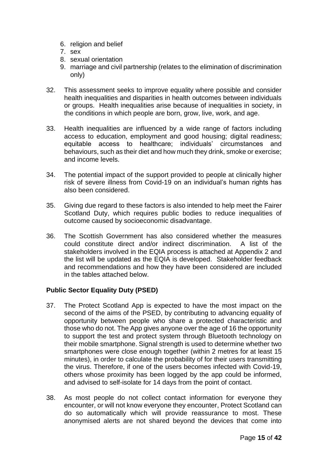- 6. religion and belief
- 7. sex
- 8. sexual orientation
- 9. marriage and civil partnership (relates to the elimination of discrimination only)
- 32. This assessment seeks to improve equality where possible and consider health inequalities and disparities in health outcomes between individuals or groups. Health inequalities arise because of inequalities in society, in the conditions in which people are born, grow, live, work, and age.
- 33. Health inequalities are influenced by a wide range of factors including access to education, employment and good housing; digital readiness; equitable access to healthcare; individuals' circumstances and behaviours, such as their diet and how much they drink, smoke or exercise; and income levels.
- 34. The potential impact of the support provided to people at clinically higher risk of severe illness from Covid-19 on an individual's human rights has also been considered.
- 35. Giving due regard to these factors is also intended to help meet the Fairer Scotland Duty, which requires public bodies to reduce inequalities of outcome caused by socioeconomic disadvantage.
- 36. The Scottish Government has also considered whether the measures could constitute direct and/or indirect discrimination. A list of the stakeholders involved in the EQIA process is attached at Appendix 2 and the list will be updated as the EQIA is developed. Stakeholder feedback and recommendations and how they have been considered are included in the tables attached below.

#### **Public Sector Equality Duty (PSED)**

- 37. The Protect Scotland App is expected to have the most impact on the second of the aims of the PSED, by contributing to advancing equality of opportunity between people who share a protected characteristic and those who do not. The App gives anyone over the age of 16 the opportunity to support the test and protect system through Bluetooth technology on their mobile smartphone. Signal strength is used to determine whether two smartphones were close enough together (within 2 metres for at least 15 minutes), in order to calculate the probability of for their users transmitting the virus. Therefore, if one of the users becomes infected with Covid-19, others whose proximity has been logged by the app could be informed, and advised to self-isolate for 14 days from the point of contact.
- 38. As most people do not collect contact information for everyone they encounter, or will not know everyone they encounter, Protect Scotland can do so automatically which will provide reassurance to most. These anonymised alerts are not shared beyond the devices that come into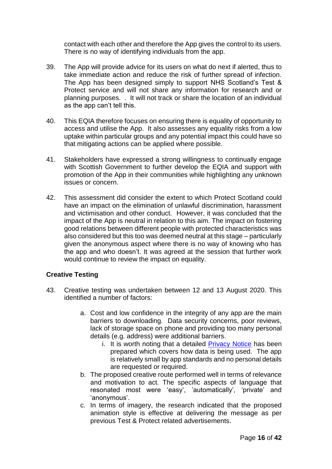contact with each other and therefore the App gives the control to its users. There is no way of identifying individuals from the app.

- 39. The App will provide advice for its users on what do next if alerted, thus to take immediate action and reduce the risk of further spread of infection. The App has been designed simply to support NHS Scotland's Test & Protect service and will not share any information for research and or planning purposes. . It will not track or share the location of an individual as the app can't tell this.
- 40. This EQIA therefore focuses on ensuring there is equality of opportunity to access and utilise the App. It also assesses any equality risks from a low uptake within particular groups and any potential impact this could have so that mitigating actions can be applied where possible.
- 41. Stakeholders have expressed a strong willingness to continually engage with Scottish Government to further develop the EQIA and support with promotion of the App in their communities while highlighting any unknown issues or concern.
- 42. This assessment did consider the extent to which Protect Scotland could have an impact on the elimination of unlawful discrimination, harassment and victimisation and other conduct. However, it was concluded that the impact of the App is neutral in relation to this aim. The impact on fostering good relations between different people with protected characteristics was also considered but this too was deemed neutral at this stage – particularly given the anonymous aspect where there is no way of knowing who has the app and who doesn't. It was agreed at the session that further work would continue to review the impact on equality.

#### **Creative Testing**

- 43. Creative testing was undertaken between 12 and 13 August 2020. This identified a number of factors:
	- a. Cost and low confidence in the integrity of any app are the main barriers to downloading. Data security concerns, poor reviews, lack of storage space on phone and providing too many personal details (e.g. address) were additional barriers.
		- i. It is worth noting that a detailed [Privacy Notice](file:///C:/Users/JonesIm/AppData/Local/Microsoft/Windows/INetCache/Content.Outlook/7HUL61SO/www.protect.scot/privacy-policy-app) has been prepared which covers how data is being used. The app is relatively small by app standards and no personal details are requested or required.
	- b. The proposed creative route performed well in terms of relevance and motivation to act. The specific aspects of language that resonated most were 'easy', 'automatically', 'private' and 'anonymous'.
	- c. In terms of imagery, the research indicated that the proposed animation style is effective at delivering the message as per previous Test & Protect related advertisements.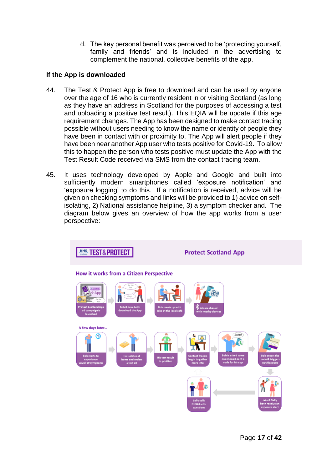d. The key personal benefit was perceived to be 'protecting yourself, family and friends' and is included in the advertising to complement the national, collective benefits of the app.

#### **If the App is downloaded**

- 44. The Test & Protect App is free to download and can be used by anyone over the age of 16 who is currently resident in or visiting Scotland (as long as they have an address in Scotland for the purposes of accessing a test and uploading a positive test result). This EQIA will be update if this age requirement changes. The App has been designed to make contact tracing possible without users needing to know the name or identity of people they have been in contact with or proximity to. The App will alert people if they have been near another App user who tests positive for Covid-19. To allow this to happen the person who tests positive must update the App with the Test Result Code received via SMS from the contact tracing team.
- 45. It uses technology developed by Apple and Google and built into sufficiently modern smartphones called 'exposure notification' and 'exposure logging' to do this. If a notification is received, advice will be given on checking symptoms and links will be provided to 1) advice on selfisolating, 2) National assistance helpline, 3) a symptom checker and. The diagram below gives an overview of how the app works from a user perspective:

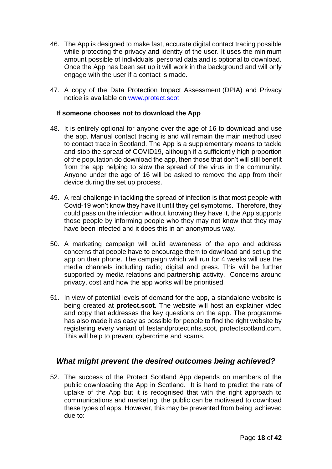- 46. The App is designed to make fast, accurate digital contact tracing possible while protecting the privacy and identity of the user. It uses the minimum amount possible of individuals' personal data and is optional to download. Once the App has been set up it will work in the background and will only engage with the user if a contact is made.
- 47. A copy of the Data Protection Impact Assessment (DPIA) and Privacy notice is available on [www.protect.scot](http://www.protect.scot/)

#### **If someone chooses not to download the App**

- 48. It is entirely optional for anyone over the age of 16 to download and use the app. Manual contact tracing is and will remain the main method used to contact trace in Scotland. The App is a supplementary means to tackle and stop the spread of COVID19, although if a sufficiently high proportion of the population do download the app, then those that don't will still benefit from the app helping to slow the spread of the virus in the community. Anyone under the age of 16 will be asked to remove the app from their device during the set up process.
- 49. A real challenge in tackling the spread of infection is that most people with Covid-19 won't know they have it until they get symptoms. Therefore, they could pass on the infection without knowing they have it, the App supports those people by informing people who they may not know that they may have been infected and it does this in an anonymous way.
- 50. A marketing campaign will build awareness of the app and address concerns that people have to encourage them to download and set up the app on their phone. The campaign which will run for 4 weeks will use the media channels including radio; digital and press. This will be further supported by media relations and partnership activity. Concerns around privacy, cost and how the app works will be prioritised.
- 51. In view of potential levels of demand for the app, a standalone website is being created at **protect.scot**. The website will host an explainer video and copy that addresses the key questions on the app. The programme has also made it as easy as possible for people to find the right website by registering every variant of testandprotect.nhs.scot, protectscotland.com. This will help to prevent cybercrime and scams.

## *What might prevent the desired outcomes being achieved?*

52. The success of the Protect Scotland App depends on members of the public downloading the App in Scotland. It is hard to predict the rate of uptake of the App but it is recognised that with the right approach to communications and marketing, the public can be motivated to download these types of apps. However, this may be prevented from being achieved due to: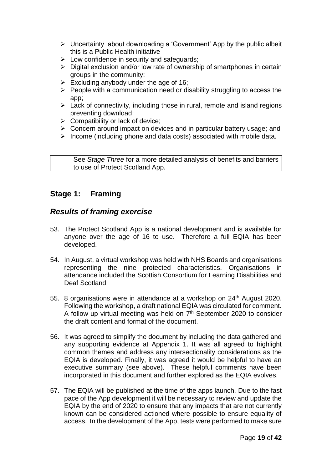- $\triangleright$  Uncertainty about downloading a 'Government' App by the public albeit this is a Public Health initiative
- $\triangleright$  Low confidence in security and safeguards;
- $\triangleright$  Digital exclusion and/or low rate of ownership of smartphones in certain groups in the community:
- $\triangleright$  Excluding anybody under the age of 16;
- $\triangleright$  People with a communication need or disability struggling to access the app;
- $\triangleright$  Lack of connectivity, including those in rural, remote and island regions preventing download;
- $\triangleright$  Compatibility or lack of device;
- $\triangleright$  Concern around impact on devices and in particular battery usage; and
- $\triangleright$  Income (including phone and data costs) associated with mobile data.

See *Stage Three* for a more detailed analysis of benefits and barriers to use of Protect Scotland App.

# **Stage 1: Framing**

#### *Results of framing exercise*

- 53. The Protect Scotland App is a national development and is available for anyone over the age of 16 to use. Therefore a full EQIA has been developed.
- 54. In August, a virtual workshop was held with NHS Boards and organisations representing the nine protected characteristics. Organisations in attendance included the Scottish Consortium for Learning Disabilities and Deaf Scotland
- 55. 8 organisations were in attendance at a workshop on 24<sup>th</sup> August 2020. Following the workshop, a draft national EQIA was circulated for comment. A follow up virtual meeting was held on  $7<sup>th</sup>$  September 2020 to consider the draft content and format of the document.
- 56. It was agreed to simplify the document by including the data gathered and any supporting evidence at Appendix 1. It was all agreed to highlight common themes and address any intersectionality considerations as the EQIA is developed. Finally, it was agreed it would be helpful to have an executive summary (see above). These helpful comments have been incorporated in this document and further explored as the EQIA evolves.
- 57. The EQIA will be published at the time of the apps launch. Due to the fast pace of the App development it will be necessary to review and update the EQIA by the end of 2020 to ensure that any impacts that are not currently known can be considered actioned where possible to ensure equality of access. In the development of the App, tests were performed to make sure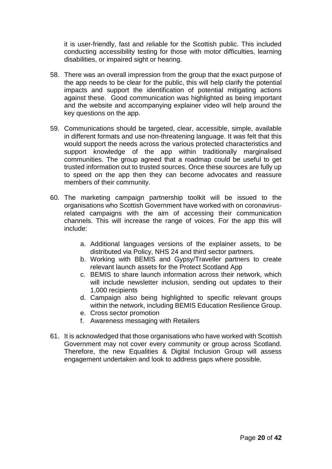it is user-friendly, fast and reliable for the Scottish public. This included conducting accessibility testing for those with motor difficulties, learning disabilities, or impaired sight or hearing.

- 58. There was an overall impression from the group that the exact purpose of the app needs to be clear for the public, this will help clarify the potential impacts and support the identification of potential mitigating actions against these. Good communication was highlighted as being important and the website and accompanying explainer video will help around the key questions on the app.
- 59. Communications should be targeted, clear, accessible, simple, available in different formats and use non-threatening language. It was felt that this would support the needs across the various protected characteristics and support knowledge of the app within traditionally marginalised communities. The group agreed that a roadmap could be useful to get trusted information out to trusted sources. Once these sources are fully up to speed on the app then they can become advocates and reassure members of their community.
- 60. The marketing campaign partnership toolkit will be issued to the organisations who Scottish Government have worked with on coronavirusrelated campaigns with the aim of accessing their communication channels. This will increase the range of voices. For the app this will include:
	- a. Additional languages versions of the explainer assets, to be distributed via Policy, NHS 24 and third sector partners.
	- b. Working with BEMIS and Gypsy/Traveller partners to create relevant launch assets for the Protect Scotland App
	- c. BEMIS to share launch information across their network, which will include newsletter inclusion, sending out updates to their 1,000 recipients
	- d. Campaign also being highlighted to specific relevant groups within the network, including BEMIS Education Resilience Group.
	- e. Cross sector promotion
	- f. Awareness messaging with Retailers
- 61. It is acknowledged that those organisations who have worked with Scottish Government may not cover every community or group across Scotland. Therefore, the new Equalities & Digital Inclusion Group will assess engagement undertaken and look to address gaps where possible.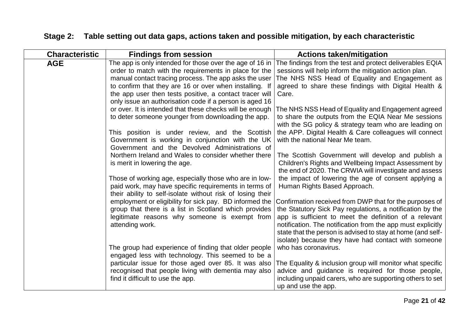# **Stage 2: Table setting out data gaps, actions taken and possible mitigation, by each characteristic**

| <b>Characteristic</b> | <b>Findings from session</b>                               | <b>Actions taken/mitigation</b>                                                                                |  |
|-----------------------|------------------------------------------------------------|----------------------------------------------------------------------------------------------------------------|--|
| <b>AGE</b>            | The app is only intended for those over the age of 16 in   | The findings from the test and protect deliverables EQIA                                                       |  |
|                       | order to match with the requirements in place for the      | sessions will help inform the mitigation action plan.                                                          |  |
|                       | manual contact tracing process. The app asks the user      | The NHS NSS Head of Equality and Engagement as                                                                 |  |
|                       | to confirm that they are 16 or over when installing. If    | agreed to share these findings with Digital Health &                                                           |  |
|                       | the app user then tests positive, a contact tracer will    | Care.                                                                                                          |  |
|                       | only issue an authorisation code if a person is aged 16    |                                                                                                                |  |
|                       | or over. It is intended that these checks will be enough   | The NHS NSS Head of Equality and Engagement agreed                                                             |  |
|                       | to deter someone younger from downloading the app.         | to share the outputs from the EQIA Near Me sessions                                                            |  |
|                       |                                                            | with the SG policy & strategy team who are leading on                                                          |  |
|                       | This position is under review, and the Scottish            | the APP. Digital Health & Care colleagues will connect                                                         |  |
|                       | Government is working in conjunction with the UK           | with the national Near Me team.                                                                                |  |
|                       | Government and the Devolved Administrations of             |                                                                                                                |  |
|                       | Northern Ireland and Wales to consider whether there       | The Scottish Government will develop and publish a                                                             |  |
|                       | is merit in lowering the age.                              | Children's Rights and Wellbeing Impact Assessment by<br>the end of 2020. The CRWIA will investigate and assess |  |
|                       | Those of working age, especially those who are in low-     | the impact of lowering the age of consent applying a                                                           |  |
|                       | paid work, may have specific requirements in terms of      | Human Rights Based Approach.                                                                                   |  |
|                       | their ability to self-isolate without risk of losing their |                                                                                                                |  |
|                       | employment or eligibility for sick pay. BD informed the    | Confirmation received from DWP that for the purposes of                                                        |  |
|                       | group that there is a list in Scotland which provides      | the Statutory Sick Pay regulations, a notification by the                                                      |  |
|                       | legitimate reasons why someone is exempt from              | app is sufficient to meet the definition of a relevant                                                         |  |
|                       | attending work.                                            | notification. The notification from the app must explicitly                                                    |  |
|                       |                                                            | state that the person is advised to stay at home (and self-                                                    |  |
|                       |                                                            | isolate) because they have had contact with someone                                                            |  |
|                       | The group had experience of finding that older people      | who has coronavirus.                                                                                           |  |
|                       | engaged less with technology. This seemed to be a          |                                                                                                                |  |
|                       | particular issue for those aged over 85. It was also       | The Equality & inclusion group will monitor what specific                                                      |  |
|                       | recognised that people living with dementia may also       | advice and guidance is required for those people,                                                              |  |
|                       | find it difficult to use the app.                          | including unpaid carers, who are supporting others to set                                                      |  |
|                       |                                                            | up and use the app.                                                                                            |  |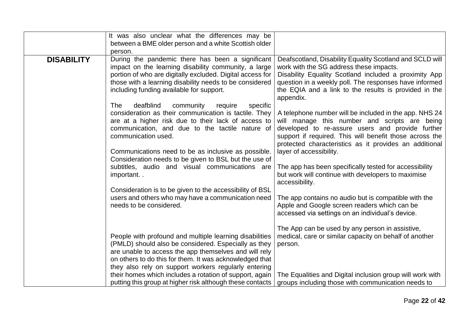|                   | It was also unclear what the differences may be<br>between a BME older person and a white Scottish older<br>person.                                                                                                                                                                                                                                                                                                 |                                                                                                                                                                                                                                                                                                             |
|-------------------|---------------------------------------------------------------------------------------------------------------------------------------------------------------------------------------------------------------------------------------------------------------------------------------------------------------------------------------------------------------------------------------------------------------------|-------------------------------------------------------------------------------------------------------------------------------------------------------------------------------------------------------------------------------------------------------------------------------------------------------------|
| <b>DISABILITY</b> | During the pandemic there has been a significant<br>impact on the learning disability community, a large<br>portion of who are digitally excluded. Digital access for<br>those with a learning disability needs to be considered<br>including funding available for support.<br>deafblind<br>community<br><b>The</b><br>specific<br>require                                                                         | Deafscotland, Disability Equality Scotland and SCLD will<br>work with the SG address these impacts.<br>Disability Equality Scotland included a proximity App<br>question in a weekly poll. The responses have informed<br>the EQIA and a link to the results is provided in the<br>appendix.                |
|                   | consideration as their communication is tactile. They<br>are at a higher risk due to their lack of access to<br>communication, and due to the tactile nature of<br>communication used.<br>Communications need to be as inclusive as possible.                                                                                                                                                                       | A telephone number will be included in the app. NHS 24<br>will manage this number and scripts are being<br>developed to re-assure users and provide further<br>support if required. This will benefit those across the<br>protected characteristics as it provides an additional<br>layer of accessibility. |
|                   | Consideration needs to be given to BSL but the use of<br>subtitles, audio and visual communications are<br>important                                                                                                                                                                                                                                                                                                | The app has been specifically tested for accessibility<br>but work will continue with developers to maximise<br>accessibility.                                                                                                                                                                              |
|                   | Consideration is to be given to the accessibility of BSL<br>users and others who may have a communication need<br>needs to be considered.                                                                                                                                                                                                                                                                           | The app contains no audio but is compatible with the<br>Apple and Google screen readers which can be<br>accessed via settings on an individual's device.                                                                                                                                                    |
|                   | People with profound and multiple learning disabilities<br>(PMLD) should also be considered. Especially as they<br>are unable to access the app themselves and will rely<br>on others to do this for them. It was acknowledged that<br>they also rely on support workers regularly entering<br>their homes which includes a rotation of support, again<br>putting this group at higher risk although these contacts | The App can be used by any person in assistive,<br>medical, care or similar capacity on behalf of another<br>person.<br>The Equalities and Digital inclusion group will work with<br>groups including those with communication needs to                                                                     |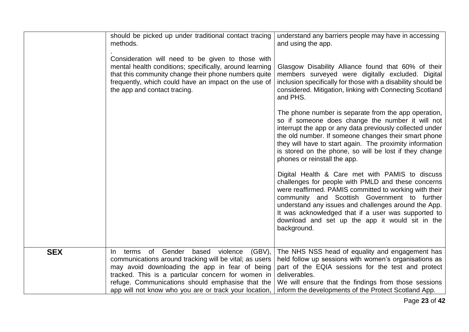|            | should be picked up under traditional contact tracing<br>methods.                                                                                                                                                                                            | understand any barriers people may have in accessing<br>and using the app.                                                                                                                                                                                                                                                                                                                       |
|------------|--------------------------------------------------------------------------------------------------------------------------------------------------------------------------------------------------------------------------------------------------------------|--------------------------------------------------------------------------------------------------------------------------------------------------------------------------------------------------------------------------------------------------------------------------------------------------------------------------------------------------------------------------------------------------|
|            | Consideration will need to be given to those with<br>mental health conditions; specifically, around learning<br>that this community change their phone numbers quite<br>frequently, which could have an impact on the use of<br>the app and contact tracing. | Glasgow Disability Alliance found that 60% of their<br>members surveyed were digitally excluded. Digital<br>inclusion specifically for those with a disability should be<br>considered. Mitigation, linking with Connecting Scotland<br>and PHS.                                                                                                                                                 |
|            |                                                                                                                                                                                                                                                              | The phone number is separate from the app operation,<br>so if someone does change the number it will not<br>interrupt the app or any data previously collected under<br>the old number. If someone changes their smart phone<br>they will have to start again. The proximity information<br>is stored on the phone, so will be lost if they change<br>phones or reinstall the app.               |
|            |                                                                                                                                                                                                                                                              | Digital Health & Care met with PAMIS to discuss<br>challenges for people with PMLD and these concerns<br>were reaffirmed. PAMIS committed to working with their<br>community and Scottish Government to further<br>understand any issues and challenges around the App.<br>It was acknowledged that if a user was supported to<br>download and set up the app it would sit in the<br>background. |
| <b>SEX</b> | terms of Gender<br>based violence<br>$(GBV)$ ,<br>$\ln$                                                                                                                                                                                                      | The NHS NSS head of equality and engagement has                                                                                                                                                                                                                                                                                                                                                  |
|            | communications around tracking will be vital; as users                                                                                                                                                                                                       | held follow up sessions with women's organisations as                                                                                                                                                                                                                                                                                                                                            |
|            | may avoid downloading the app in fear of being<br>tracked. This is a particular concern for women in                                                                                                                                                         | part of the EQIA sessions for the test and protect<br>deliverables.                                                                                                                                                                                                                                                                                                                              |
|            | refuge. Communications should emphasise that the<br>app will not know who you are or track your location,                                                                                                                                                    | We will ensure that the findings from those sessions<br>inform the developments of the Protect Scotland App.                                                                                                                                                                                                                                                                                     |
|            |                                                                                                                                                                                                                                                              |                                                                                                                                                                                                                                                                                                                                                                                                  |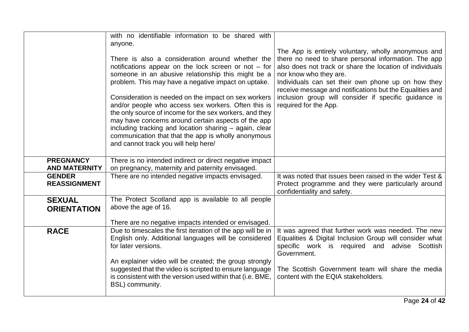|                                          | with no identifiable information to be shared with<br>anyone.<br>There is also a consideration around whether the<br>notifications appear on the lock screen or not $-$ for<br>someone in an abusive relationship this might be a<br>problem. This may have a negative impact on uptake.<br>Consideration is needed on the impact on sex workers<br>and/or people who access sex workers. Often this is<br>the only source of income for the sex workers, and they<br>may have concerns around certain aspects of the app<br>including tracking and location sharing - again, clear<br>communication that that the app is wholly anonymous<br>and cannot track you will help here/ | The App is entirely voluntary, wholly anonymous and<br>there no need to share personal information. The app<br>also does not track or share the location of individuals<br>nor know who they are.<br>Individuals can set their own phone up on how they<br>receive message and notifications but the Equalities and<br>inclusion group will consider if specific guidance is<br>required for the App. |
|------------------------------------------|------------------------------------------------------------------------------------------------------------------------------------------------------------------------------------------------------------------------------------------------------------------------------------------------------------------------------------------------------------------------------------------------------------------------------------------------------------------------------------------------------------------------------------------------------------------------------------------------------------------------------------------------------------------------------------|-------------------------------------------------------------------------------------------------------------------------------------------------------------------------------------------------------------------------------------------------------------------------------------------------------------------------------------------------------------------------------------------------------|
| <b>PREGNANCY</b><br><b>AND MATERNITY</b> | There is no intended indirect or direct negative impact<br>on pregnancy, maternity and paternity envisaged.                                                                                                                                                                                                                                                                                                                                                                                                                                                                                                                                                                        |                                                                                                                                                                                                                                                                                                                                                                                                       |
| <b>GENDER</b><br><b>REASSIGNMENT</b>     | There are no intended negative impacts envisaged.                                                                                                                                                                                                                                                                                                                                                                                                                                                                                                                                                                                                                                  | It was noted that issues been raised in the wider Test &<br>Protect programme and they were particularly around<br>confidentiality and safety.                                                                                                                                                                                                                                                        |
| <b>SEXUAL</b><br><b>ORIENTATION</b>      | The Protect Scotland app is available to all people<br>above the age of 16.<br>There are no negative impacts intended or envisaged.                                                                                                                                                                                                                                                                                                                                                                                                                                                                                                                                                |                                                                                                                                                                                                                                                                                                                                                                                                       |
| <b>RACE</b>                              | Due to timescales the first iteration of the app will be in<br>English only. Additional languages will be considered<br>for later versions.<br>An explainer video will be created; the group strongly<br>suggested that the video is scripted to ensure language<br>is consistent with the version used within that (i.e. BME,<br>BSL) community.                                                                                                                                                                                                                                                                                                                                  | It was agreed that further work was needed. The new<br>Equalities & Digital Inclusion Group will consider what<br>specific work is required and advise Scottish<br>Government.<br>The Scottish Government team will share the media<br>content with the EQIA stakeholders.                                                                                                                            |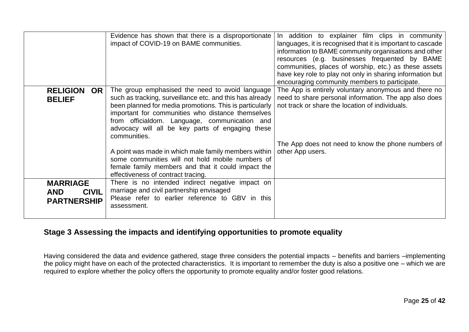|                                                                     | Evidence has shown that there is a disproportionate<br>impact of COVID-19 on BAME communities.                                                                                                                                                                                                                                                   | addition to explainer film clips in community<br>In.<br>languages, it is recognised that it is important to cascade<br>information to BAME community organisations and other<br>resources (e.g. businesses frequented by BAME<br>communities, places of worship, etc.) as these assets<br>have key role to play not only in sharing information but<br>encouraging community members to participate. |
|---------------------------------------------------------------------|--------------------------------------------------------------------------------------------------------------------------------------------------------------------------------------------------------------------------------------------------------------------------------------------------------------------------------------------------|------------------------------------------------------------------------------------------------------------------------------------------------------------------------------------------------------------------------------------------------------------------------------------------------------------------------------------------------------------------------------------------------------|
| <b>RELIGION</b><br>OR.<br><b>BELIEF</b>                             | The group emphasised the need to avoid language<br>such as tracking, surveillance etc. and this has already<br>been planned for media promotions. This is particularly<br>important for communities who distance themselves<br>from officialdom. Language, communication and<br>advocacy will all be key parts of engaging these<br>communities. | The App is entirely voluntary anonymous and there no<br>need to share personal information. The app also does<br>not track or share the location of individuals.                                                                                                                                                                                                                                     |
|                                                                     | A point was made in which male family members within<br>some communities will not hold mobile numbers of<br>female family members and that it could impact the<br>effectiveness of contract tracing.                                                                                                                                             | The App does not need to know the phone numbers of<br>other App users.                                                                                                                                                                                                                                                                                                                               |
| <b>MARRIAGE</b><br><b>CIVIL</b><br><b>AND</b><br><b>PARTNERSHIP</b> | There is no intended indirect negative impact on<br>marriage and civil partnership envisaged<br>Please refer to earlier reference to GBV in this<br>assessment.                                                                                                                                                                                  |                                                                                                                                                                                                                                                                                                                                                                                                      |

# **Stage 3 Assessing the impacts and identifying opportunities to promote equality**

Having considered the data and evidence gathered, stage three considers the potential impacts – benefits and barriers –implementing the policy might have on each of the protected characteristics. It is important to remember the duty is also a positive one – which we are required to explore whether the policy offers the opportunity to promote equality and/or foster good relations.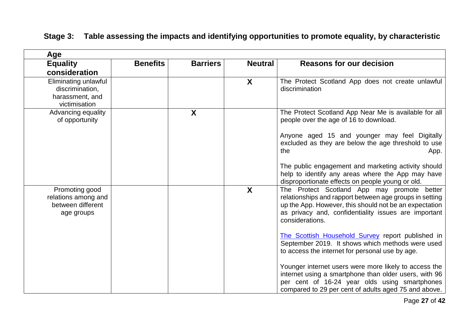| Age                                                                         |                 |                 |                  |                                                                                                                                                                                                                                             |
|-----------------------------------------------------------------------------|-----------------|-----------------|------------------|---------------------------------------------------------------------------------------------------------------------------------------------------------------------------------------------------------------------------------------------|
| <b>Equality</b>                                                             | <b>Benefits</b> | <b>Barriers</b> | <b>Neutral</b>   | <b>Reasons for our decision</b>                                                                                                                                                                                                             |
| consideration                                                               |                 |                 |                  |                                                                                                                                                                                                                                             |
| Eliminating unlawful<br>discrimination,<br>harassment, and<br>victimisation |                 |                 | X                | The Protect Scotland App does not create unlawful<br>discrimination                                                                                                                                                                         |
| Advancing equality<br>of opportunity                                        |                 | X               |                  | The Protect Scotland App Near Me is available for all<br>people over the age of 16 to download.<br>Anyone aged 15 and younger may feel Digitally<br>excluded as they are below the age threshold to use                                     |
|                                                                             |                 |                 |                  | the<br>App.<br>The public engagement and marketing activity should<br>help to identify any areas where the App may have<br>disproportionate effects on people young or old.                                                                 |
| Promoting good<br>relations among and<br>between different<br>age groups    |                 |                 | $\boldsymbol{X}$ | The Protect Scotland App may promote better<br>relationships and rapport between age groups in setting<br>up the App. However, this should not be an expectation<br>as privacy and, confidentiality issues are important<br>considerations. |
|                                                                             |                 |                 |                  | The Scottish Household Survey report published in<br>September 2019. It shows which methods were used<br>to access the internet for personal use by age.                                                                                    |
|                                                                             |                 |                 |                  | Younger internet users were more likely to access the<br>internet using a smartphone than older users, with 96<br>per cent of 16-24 year olds using smartphones<br>compared to 29 per cent of adults aged 75 and above.                     |

# **Stage 3: Table assessing the impacts and identifying opportunities to promote equality, by characteristic**

Page **27** of **42**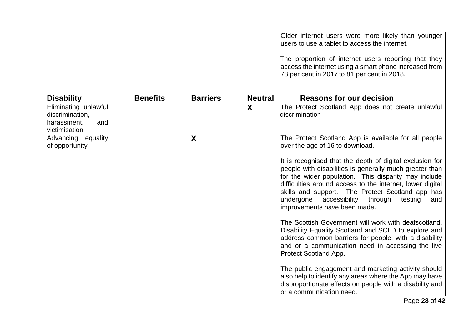|                                                                                |                 |                 |                | Older internet users were more likely than younger<br>users to use a tablet to access the internet.<br>The proportion of internet users reporting that they<br>access the internet using a smart phone increased from<br>78 per cent in 2017 to 81 per cent in 2018.                                                                                                                                                                                                                                                                                                                                                                                                                                                                                                                                                                                                                                                                               |
|--------------------------------------------------------------------------------|-----------------|-----------------|----------------|----------------------------------------------------------------------------------------------------------------------------------------------------------------------------------------------------------------------------------------------------------------------------------------------------------------------------------------------------------------------------------------------------------------------------------------------------------------------------------------------------------------------------------------------------------------------------------------------------------------------------------------------------------------------------------------------------------------------------------------------------------------------------------------------------------------------------------------------------------------------------------------------------------------------------------------------------|
| <b>Disability</b>                                                              | <b>Benefits</b> | <b>Barriers</b> | <b>Neutral</b> | <b>Reasons for our decision</b>                                                                                                                                                                                                                                                                                                                                                                                                                                                                                                                                                                                                                                                                                                                                                                                                                                                                                                                    |
| Eliminating unlawful<br>discrimination,<br>harassment,<br>and<br>victimisation |                 |                 | $\mathsf{X}$   | The Protect Scotland App does not create unlawful<br>discrimination                                                                                                                                                                                                                                                                                                                                                                                                                                                                                                                                                                                                                                                                                                                                                                                                                                                                                |
| Advancing equality<br>of opportunity                                           |                 | X               |                | The Protect Scotland App is available for all people<br>over the age of 16 to download.<br>It is recognised that the depth of digital exclusion for<br>people with disabilities is generally much greater than<br>for the wider population. This disparity may include<br>difficulties around access to the internet, lower digital<br>skills and support. The Protect Scotland app has<br>undergone<br>accessibility<br>through<br>testing<br>and<br>improvements have been made.<br>The Scottish Government will work with deafscotland,<br>Disability Equality Scotland and SCLD to explore and<br>address common barriers for people, with a disability<br>and or a communication need in accessing the live<br>Protect Scotland App.<br>The public engagement and marketing activity should<br>also help to identify any areas where the App may have<br>disproportionate effects on people with a disability and<br>or a communication need. |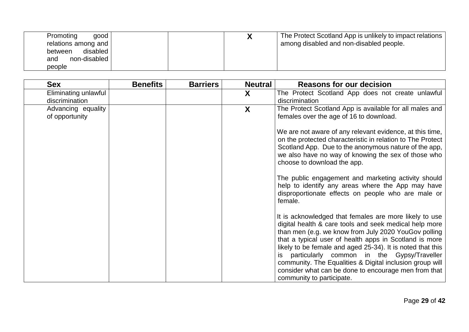| Promoting<br>good<br>relations among and<br>disabled<br>between<br>non-disabled<br>and<br>people |  | The Protect Scotland App is unlikely to impact relations<br>among disabled and non-disabled people. |
|--------------------------------------------------------------------------------------------------|--|-----------------------------------------------------------------------------------------------------|
|--------------------------------------------------------------------------------------------------|--|-----------------------------------------------------------------------------------------------------|

| <b>Sex</b>           | <b>Benefits</b> | <b>Barriers</b> | <b>Neutral</b> | <b>Reasons for our decision</b>                            |
|----------------------|-----------------|-----------------|----------------|------------------------------------------------------------|
| Eliminating unlawful |                 |                 | X              | The Protect Scotland App does not create unlawful          |
| discrimination       |                 |                 |                | discrimination                                             |
| Advancing equality   |                 |                 | X              | The Protect Scotland App is available for all males and    |
| of opportunity       |                 |                 |                | females over the age of 16 to download.                    |
|                      |                 |                 |                |                                                            |
|                      |                 |                 |                | We are not aware of any relevant evidence, at this time,   |
|                      |                 |                 |                | on the protected characteristic in relation to The Protect |
|                      |                 |                 |                | Scotland App. Due to the anonymous nature of the app,      |
|                      |                 |                 |                | we also have no way of knowing the sex of those who        |
|                      |                 |                 |                | choose to download the app.                                |
|                      |                 |                 |                | The public engagement and marketing activity should        |
|                      |                 |                 |                | help to identify any areas where the App may have          |
|                      |                 |                 |                | disproportionate effects on people who are male or         |
|                      |                 |                 |                | female.                                                    |
|                      |                 |                 |                |                                                            |
|                      |                 |                 |                | It is acknowledged that females are more likely to use     |
|                      |                 |                 |                | digital health & care tools and seek medical help more     |
|                      |                 |                 |                | than men (e.g. we know from July 2020 YouGov polling       |
|                      |                 |                 |                | that a typical user of health apps in Scotland is more     |
|                      |                 |                 |                | likely to be female and aged 25-34). It is noted that this |
|                      |                 |                 |                | is particularly common in the Gypsy/Traveller              |
|                      |                 |                 |                | community. The Equalities & Digital inclusion group will   |
|                      |                 |                 |                | consider what can be done to encourage men from that       |
|                      |                 |                 |                | community to participate.                                  |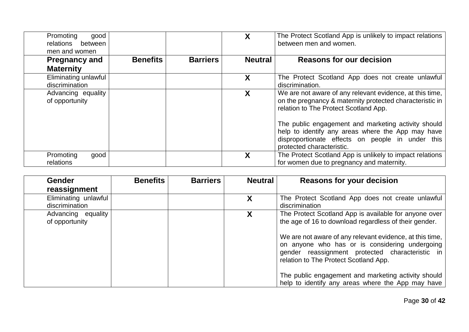| Promoting<br>good<br>relations<br>between<br>men and women |                 |                 |                | The Protect Scotland App is unlikely to impact relations<br>between men and women.                                                                                                                                                                                                                                                                         |
|------------------------------------------------------------|-----------------|-----------------|----------------|------------------------------------------------------------------------------------------------------------------------------------------------------------------------------------------------------------------------------------------------------------------------------------------------------------------------------------------------------------|
| <b>Pregnancy and</b><br><b>Maternity</b>                   | <b>Benefits</b> | <b>Barriers</b> | <b>Neutral</b> | <b>Reasons for our decision</b>                                                                                                                                                                                                                                                                                                                            |
| Eliminating unlawful<br>discrimination                     |                 |                 | X              | The Protect Scotland App does not create unlawful<br>discrimination.                                                                                                                                                                                                                                                                                       |
| Advancing equality<br>of opportunity                       |                 |                 | X              | We are not aware of any relevant evidence, at this time,<br>on the pregnancy & maternity protected characteristic in<br>relation to The Protect Scotland App.<br>The public engagement and marketing activity should<br>help to identify any areas where the App may have<br>disproportionate effects on people in under this<br>protected characteristic. |
| Promoting<br>good<br>relations                             |                 |                 |                | The Protect Scotland App is unlikely to impact relations<br>for women due to pregnancy and maternity.                                                                                                                                                                                                                                                      |

| <b>Gender</b><br>reassignment          | <b>Benefits</b> | <b>Barriers</b> | <b>Neutral</b> | <b>Reasons for your decision</b>                                                                                                                                           |
|----------------------------------------|-----------------|-----------------|----------------|----------------------------------------------------------------------------------------------------------------------------------------------------------------------------|
| Eliminating unlawful<br>discrimination |                 |                 | X              | The Protect Scotland App does not create unlawful<br>discrimination                                                                                                        |
| Advancing equality<br>of opportunity   |                 |                 | X              | The Protect Scotland App is available for anyone over<br>the age of 16 to download regardless of their gender.<br>We are not aware of any relevant evidence, at this time, |
|                                        |                 |                 |                | on anyone who has or is considering undergoing<br>gender reassignment protected characteristic in<br>relation to The Protect Scotland App.                                 |
|                                        |                 |                 |                | The public engagement and marketing activity should<br>help to identify any areas where the App may have                                                                   |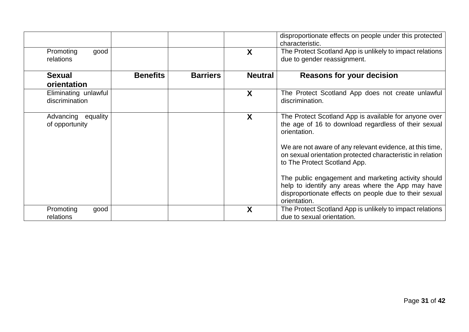|                                         |                 |                 |                | disproportionate effects on people under this protected<br>characteristic.                                                                                                         |
|-----------------------------------------|-----------------|-----------------|----------------|------------------------------------------------------------------------------------------------------------------------------------------------------------------------------------|
| Promoting<br>good<br>relations          |                 |                 | X              | The Protect Scotland App is unlikely to impact relations<br>due to gender reassignment.                                                                                            |
| <b>Sexual</b>                           | <b>Benefits</b> | <b>Barriers</b> | <b>Neutral</b> | <b>Reasons for your decision</b>                                                                                                                                                   |
| orientation                             |                 |                 |                |                                                                                                                                                                                    |
| Eliminating unlawful<br>discrimination  |                 |                 | X              | The Protect Scotland App does not create unlawful<br>discrimination.                                                                                                               |
| equality<br>Advancing<br>of opportunity |                 |                 | X              | The Protect Scotland App is available for anyone over<br>the age of 16 to download regardless of their sexual<br>orientation.                                                      |
|                                         |                 |                 |                | We are not aware of any relevant evidence, at this time,<br>on sexual orientation protected characteristic in relation<br>to The Protect Scotland App.                             |
|                                         |                 |                 |                | The public engagement and marketing activity should<br>help to identify any areas where the App may have<br>disproportionate effects on people due to their sexual<br>orientation. |
| Promoting<br>good<br>relations          |                 |                 | X              | The Protect Scotland App is unlikely to impact relations<br>due to sexual orientation.                                                                                             |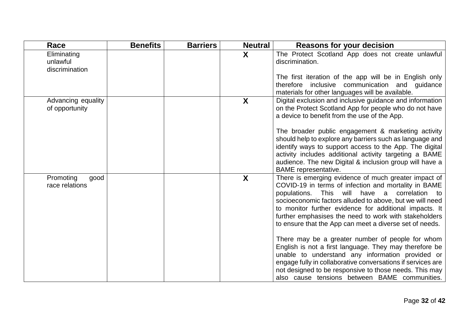| Race                                      | <b>Benefits</b> | <b>Barriers</b> | <b>Neutral</b> | <b>Reasons for your decision</b>                                                                                                                                                                                                                                                                                                                                                                                |
|-------------------------------------------|-----------------|-----------------|----------------|-----------------------------------------------------------------------------------------------------------------------------------------------------------------------------------------------------------------------------------------------------------------------------------------------------------------------------------------------------------------------------------------------------------------|
| Eliminating<br>unlawful<br>discrimination |                 |                 | X              | The Protect Scotland App does not create unlawful<br>discrimination.                                                                                                                                                                                                                                                                                                                                            |
|                                           |                 |                 |                | The first iteration of the app will be in English only<br>therefore inclusive communication and guidance<br>materials for other languages will be available.                                                                                                                                                                                                                                                    |
| Advancing equality<br>of opportunity      |                 |                 | X              | Digital exclusion and inclusive guidance and information<br>on the Protect Scotland App for people who do not have<br>a device to benefit from the use of the App.                                                                                                                                                                                                                                              |
|                                           |                 |                 |                | The broader public engagement & marketing activity<br>should help to explore any barriers such as language and<br>identify ways to support access to the App. The digital<br>activity includes additional activity targeting a BAME<br>audience. The new Digital & inclusion group will have a<br><b>BAME</b> representative.                                                                                   |
| Promoting<br>good<br>race relations       |                 |                 | X              | There is emerging evidence of much greater impact of<br>COVID-19 in terms of infection and mortality in BAME<br>This will<br>have a<br>correlation to<br>populations.<br>socioeconomic factors alluded to above, but we will need<br>to monitor further evidence for additional impacts. It<br>further emphasises the need to work with stakeholders<br>to ensure that the App can meet a diverse set of needs. |
|                                           |                 |                 |                | There may be a greater number of people for whom<br>English is not a first language. They may therefore be<br>unable to understand any information provided or<br>engage fully in collaborative conversations if services are<br>not designed to be responsive to those needs. This may<br>also cause tensions between BAME communities.                                                                        |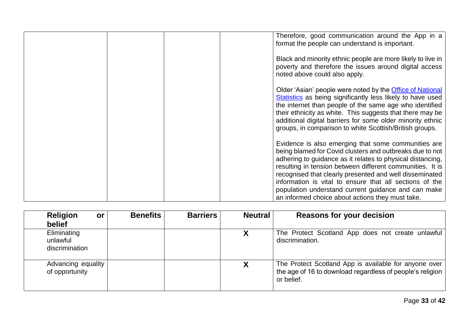| Therefore, good communication around the App in a<br>format the people can understand is important.                                                                                                                                                                                                                                                                                                                                                                         |
|-----------------------------------------------------------------------------------------------------------------------------------------------------------------------------------------------------------------------------------------------------------------------------------------------------------------------------------------------------------------------------------------------------------------------------------------------------------------------------|
| Black and minority ethnic people are more likely to live in<br>poverty and therefore the issues around digital access<br>noted above could also apply.                                                                                                                                                                                                                                                                                                                      |
| Older 'Asian' people were noted by the Office of National<br>Statistics as being significantly less likely to have used<br>the internet than people of the same age who identified<br>their ethnicity as white. This suggests that there may be<br>additional digital barriers for some older minority ethnic<br>groups, in comparison to white Scottish/British groups.                                                                                                    |
| Evidence is also emerging that some communities are<br>being blamed for Covid clusters and outbreaks due to not<br>adhering to guidance as it relates to physical distancing,<br>resulting in tension between different communities. It is<br>recognised that clearly presented and well disseminated<br>information is vital to ensure that all sections of the<br>population understand current guidance and can make<br>an informed choice about actions they must take. |

| <b>Religion</b><br><b>or</b><br>belief    | <b>Benefits</b> | <b>Barriers</b> | <b>Neutral</b> | <b>Reasons for your decision</b>                                                                                                 |
|-------------------------------------------|-----------------|-----------------|----------------|----------------------------------------------------------------------------------------------------------------------------------|
| Eliminating<br>unlawful<br>discrimination |                 |                 |                | The Protect Scotland App does not create unlawful<br>discrimination.                                                             |
| Advancing equality<br>of opportunity      |                 |                 |                | The Protect Scotland App is available for anyone over<br>the age of 16 to download regardless of people's religion<br>or belief. |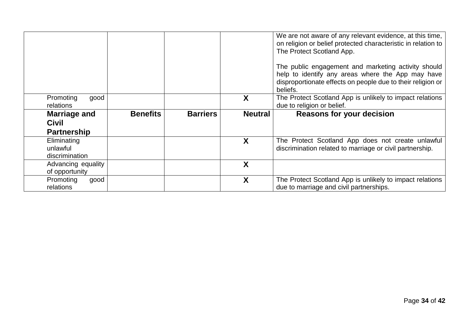|                                           |                 |                 |                | We are not aware of any relevant evidence, at this time,<br>on religion or belief protected characteristic in relation to<br>The Protect Scotland App.<br>The public engagement and marketing activity should<br>help to identify any areas where the App may have<br>disproportionate effects on people due to their religion or<br>beliefs. |
|-------------------------------------------|-----------------|-----------------|----------------|-----------------------------------------------------------------------------------------------------------------------------------------------------------------------------------------------------------------------------------------------------------------------------------------------------------------------------------------------|
| Promoting<br>good<br>relations            |                 |                 | X              | The Protect Scotland App is unlikely to impact relations<br>due to religion or belief.                                                                                                                                                                                                                                                        |
|                                           | <b>Benefits</b> | <b>Barriers</b> | <b>Neutral</b> |                                                                                                                                                                                                                                                                                                                                               |
| Marriage and                              |                 |                 |                | <b>Reasons for your decision</b>                                                                                                                                                                                                                                                                                                              |
| <b>Civil</b>                              |                 |                 |                |                                                                                                                                                                                                                                                                                                                                               |
| <b>Partnership</b>                        |                 |                 |                |                                                                                                                                                                                                                                                                                                                                               |
| Eliminating<br>unlawful<br>discrimination |                 |                 | X              | The Protect Scotland App does not create unlawful<br>discrimination related to marriage or civil partnership.                                                                                                                                                                                                                                 |
| Advancing equality<br>of opportunity      |                 |                 | X              |                                                                                                                                                                                                                                                                                                                                               |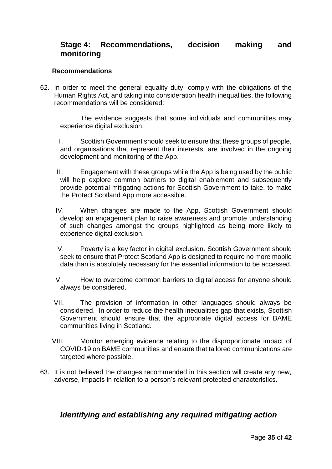# **Stage 4: Recommendations, decision making and monitoring**

#### **Recommendations**

62. In order to meet the general equality duty, comply with the obligations of the Human Rights Act, and taking into consideration health inequalities, the following recommendations will be considered:

I. The evidence suggests that some individuals and communities may experience digital exclusion.

II. Scottish Government should seek to ensure that these groups of people, and organisations that represent their interests, are involved in the ongoing development and monitoring of the App.

- III. Engagement with these groups while the App is being used by the public will help explore common barriers to digital enablement and subsequently provide potential mitigating actions for Scottish Government to take, to make the Protect Scotland App more accessible.
- IV. When changes are made to the App, Scottish Government should develop an engagement plan to raise awareness and promote understanding of such changes amongst the groups highlighted as being more likely to experience digital exclusion.
- V. Poverty is a key factor in digital exclusion. Scottish Government should seek to ensure that Protect Scotland App is designed to require no more mobile data than is absolutely necessary for the essential information to be accessed.
- VI. How to overcome common barriers to digital access for anyone should always be considered.
- VII. The provision of information in other languages should always be considered. In order to reduce the health inequalities gap that exists, Scottish Government should ensure that the appropriate digital access for BAME communities living in Scotland.
- VIII. Monitor emerging evidence relating to the disproportionate impact of COVID-19 on BAME communities and ensure that tailored communications are targeted where possible.
- 63. It is not believed the changes recommended in this section will create any new, adverse, impacts in relation to a person's relevant protected characteristics.

## *Identifying and establishing any required mitigating action*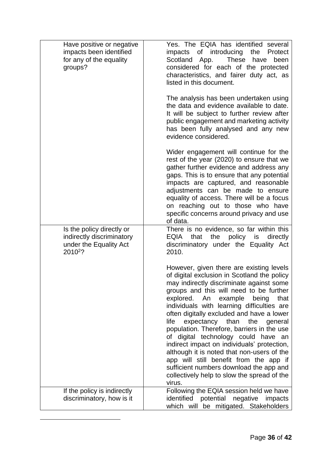| Have positive or negative<br>impacts been identified<br>for any of the equality<br>groups?              | Yes. The EQIA has identified several<br>impacts of introducing<br>the<br>Protect<br>Scotland App.<br><b>These</b><br>have<br>been<br>considered for each of the protected<br>characteristics, and fairer duty act, as<br>listed in this document.                                                                                                                                                                                                                                                                                                                                                                                                                                                  |
|---------------------------------------------------------------------------------------------------------|----------------------------------------------------------------------------------------------------------------------------------------------------------------------------------------------------------------------------------------------------------------------------------------------------------------------------------------------------------------------------------------------------------------------------------------------------------------------------------------------------------------------------------------------------------------------------------------------------------------------------------------------------------------------------------------------------|
|                                                                                                         | The analysis has been undertaken using<br>the data and evidence available to date.<br>It will be subject to further review after<br>public engagement and marketing activity<br>has been fully analysed and any new<br>evidence considered.                                                                                                                                                                                                                                                                                                                                                                                                                                                        |
|                                                                                                         | Wider engagement will continue for the<br>rest of the year (2020) to ensure that we<br>gather further evidence and address any<br>gaps. This is to ensure that any potential<br>impacts are captured, and reasonable<br>adjustments can be made to ensure<br>equality of access. There will be a focus<br>on reaching out to those who have<br>specific concerns around privacy and use<br>of data.                                                                                                                                                                                                                                                                                                |
| Is the policy directly or<br>indirectly discriminatory<br>under the Equality Act<br>2010 <sup>2</sup> ? | There is no evidence, so far within this<br>EQIA<br>that<br>the<br>policy<br>directly<br>is<br>discriminatory under the Equality Act<br>2010.                                                                                                                                                                                                                                                                                                                                                                                                                                                                                                                                                      |
|                                                                                                         | However, given there are existing levels<br>of digital exclusion in Scotland the policy<br>may indirectly discriminate against some<br>groups and this will need to be further<br>explored. An<br>example<br>that<br>being<br>individuals with learning difficulties are<br>often digitally excluded and have a lower<br>life<br>expectancy than<br>the<br>general<br>population. Therefore, barriers in the use<br>of digital technology could have an<br>indirect impact on individuals' protection,<br>although it is noted that non-users of the<br>app will still benefit from the app if<br>sufficient numbers download the app and<br>collectively help to slow the spread of the<br>virus. |
| If the policy is indirectly<br>discriminatory, how is it                                                | Following the EQIA session held we have<br>identified<br>potential negative<br>impacts<br>which will be mitigated. Stakeholders                                                                                                                                                                                                                                                                                                                                                                                                                                                                                                                                                                    |

1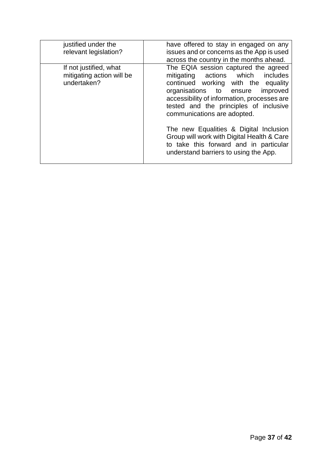| justified under the<br>relevant legislation?                       | have offered to stay in engaged on any<br>issues and or concerns as the App is used<br>across the country in the months ahead.                                                                                                                                                                                                                                                                                                                                |
|--------------------------------------------------------------------|---------------------------------------------------------------------------------------------------------------------------------------------------------------------------------------------------------------------------------------------------------------------------------------------------------------------------------------------------------------------------------------------------------------------------------------------------------------|
| If not justified, what<br>mitigating action will be<br>undertaken? | The EQIA session captured the agreed<br>mitigating actions which<br>includes<br>continued working with the equality<br>organisations to ensure<br>improved<br>accessibility of information, processes are<br>tested and the principles of inclusive<br>communications are adopted.<br>The new Equalities & Digital Inclusion<br>Group will work with Digital Health & Care<br>to take this forward and in particular<br>understand barriers to using the App. |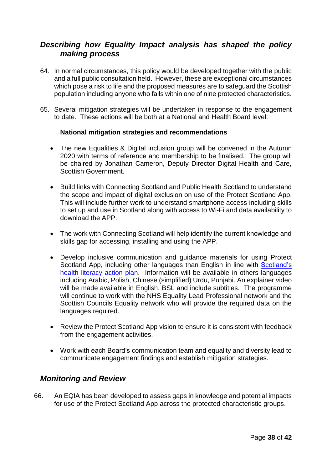# *Describing how Equality Impact analysis has shaped the policy making process*

- 64. In normal circumstances, this policy would be developed together with the public and a full public consultation held. However, these are exceptional circumstances which pose a risk to life and the proposed measures are to safeguard the Scottish population including anyone who falls within one of nine protected characteristics.
- 65. Several mitigation strategies will be undertaken in response to the engagement to date. These actions will be both at a National and Health Board level:

#### **National mitigation strategies and recommendations**

- The new Equalities & Digital inclusion group will be convened in the Autumn 2020 with terms of reference and membership to be finalised. The group will be chaired by Jonathan Cameron, Deputy Director Digital Health and Care, Scottish Government.
- Build links with Connecting Scotland and Public Health Scotland to understand the scope and impact of digital exclusion on use of the Protect Scotland App. This will include further work to understand smartphone access including skills to set up and use in Scotland along with access to Wi-Fi and data availability to download the APP.
- The work with Connecting Scotland will help identify the current knowledge and skills gap for accessing, installing and using the APP.
- Develop inclusive communication and guidance materials for using Protect Scotland App, including other languages than English in line with Scotland's [health literacy action plan.](https://www.gov.scot/publications/making-easier-health-literacy-action-plan-scotland-2017-2025/) Information will be available in others languages including Arabic, Polish, Chinese (simplified) Urdu, Punjabi. An explainer video will be made available in English, BSL and include subtitles. The programme will continue to work with the NHS Equality Lead Professional network and the Scottish Councils Equality network who will provide the required data on the languages required.
- Review the Protect Scotland App vision to ensure it is consistent with feedback from the engagement activities.
- Work with each Board's communication team and equality and diversity lead to communicate engagement findings and establish mitigation strategies.

#### *Monitoring and Review*

66. An EQIA has been developed to assess gaps in knowledge and potential impacts for use of the Protect Scotland App across the protected characteristic groups.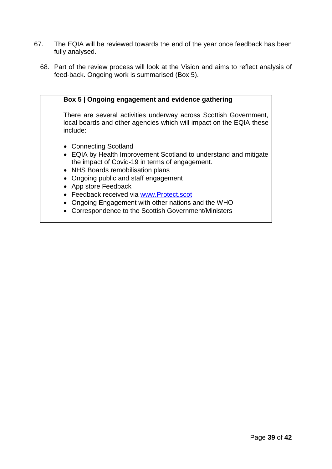- 67. The EQIA will be reviewed towards the end of the year once feedback has been fully analysed.
	- 68. Part of the review process will look at the Vision and aims to reflect analysis of feed-back. Ongoing work is summarised (Box 5).

| Box 5   Ongoing engagement and evidence gathering                                                                                                                                                                                                                                                                                              |
|------------------------------------------------------------------------------------------------------------------------------------------------------------------------------------------------------------------------------------------------------------------------------------------------------------------------------------------------|
| There are several activities underway across Scottish Government,<br>local boards and other agencies which will impact on the EQIA these<br>include:                                                                                                                                                                                           |
| • Connecting Scotland<br>• EQIA by Health Improvement Scotland to understand and mitigate<br>the impact of Covid-19 in terms of engagement.<br>• NHS Boards remobilisation plans<br>Ongoing public and staff engagement<br>App store Feedback<br>• Feedback received via www.Protect.scot<br>Ongoing Engagement with other nations and the WHO |
| • Correspondence to the Scottish Government/Ministers                                                                                                                                                                                                                                                                                          |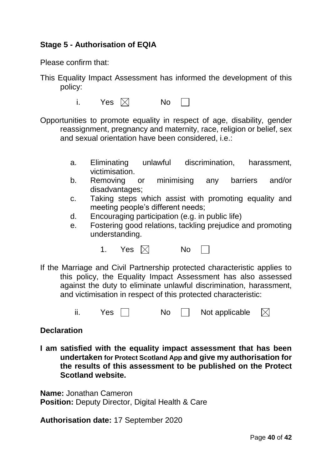# **Stage 5 - Authorisation of EQIA**

Please confirm that:

- This Equality Impact Assessment has informed the development of this policy:
	- i. Yes  $\boxtimes$  No

Opportunities to promote equality in respect of age, disability, gender reassignment, pregnancy and maternity, race, religion or belief, sex and sexual orientation have been considered, i.e.:

- a. Eliminating unlawful discrimination, harassment, victimisation.
- b. Removing or minimising any barriers and/or disadvantages;
- c. Taking steps which assist with promoting equality and meeting people's different needs;
- d. Encouraging participation (e.g. in public life)
- e. Fostering good relations, tackling prejudice and promoting understanding.
	- 1. Yes  $\boxtimes$  No
- If the Marriage and Civil Partnership protected characteristic applies to this policy, the Equality Impact Assessment has also assessed against the duty to eliminate unlawful discrimination, harassment, and victimisation in respect of this protected characteristic:
	- $ii.$  Yes  $\Box$  No  $\Box$  Not applicable  $\boxtimes$

## **Declaration**

**I am satisfied with the equality impact assessment that has been undertaken for Protect Scotland App and give my authorisation for the results of this assessment to be published on the Protect Scotland website.**

**Name:** Jonathan Cameron **Position:** Deputy Director, Digital Health & Care

**Authorisation date:** 17 September 2020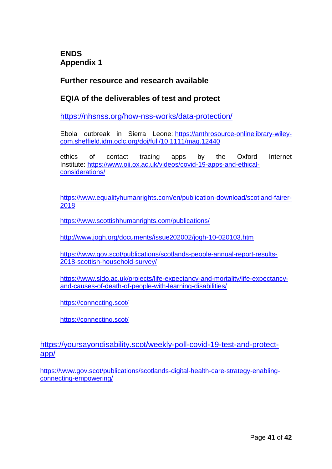**ENDS Appendix 1**

# **Further resource and research available**

# **EQIA of the deliverables of test and protect**

<https://nhsnss.org/how-nss-works/data-protection/>

Ebola outbreak in Sierra Leone: [https://anthrosource-onlinelibrary-wiley](https://anthrosource-onlinelibrary-wiley-com.sheffield.idm.oclc.org/doi/full/10.1111/maq.12440)[com.sheffield.idm.oclc.org/doi/full/10.1111/maq.12440](https://anthrosource-onlinelibrary-wiley-com.sheffield.idm.oclc.org/doi/full/10.1111/maq.12440)

ethics of contact tracing apps by the Oxford Internet Institute: [https://www.oii.ox.ac.uk/videos/covid-19-apps-and-ethical](https://www.oii.ox.ac.uk/videos/covid-19-apps-and-ethical-considerations/)[considerations/](https://www.oii.ox.ac.uk/videos/covid-19-apps-and-ethical-considerations/)

[https://www.equalityhumanrights.com/en/publication-download/scotland-fairer-](https://www.equalityhumanrights.com/en/publication-download/scotland-fairer-2018)[2018](https://www.equalityhumanrights.com/en/publication-download/scotland-fairer-2018)

<https://www.scottishhumanrights.com/publications/>

<http://www.jogh.org/documents/issue202002/jogh-10-020103.htm>

[https://www.gov.scot/publications/scotlands-people-annual-report-results-](https://www.gov.scot/publications/scotlands-people-annual-report-results-2018-scottish-household-survey/)[2018-scottish-household-survey/](https://www.gov.scot/publications/scotlands-people-annual-report-results-2018-scottish-household-survey/)

[https://www.sldo.ac.uk/projects/life-expectancy-and-mortality/life-expectancy](https://www.sldo.ac.uk/projects/life-expectancy-and-mortality/life-expectancy-and-causes-of-death-of-people-with-learning-disabilities/)[and-causes-of-death-of-people-with-learning-disabilities/](https://www.sldo.ac.uk/projects/life-expectancy-and-mortality/life-expectancy-and-causes-of-death-of-people-with-learning-disabilities/)

<https://connecting.scot/>

<https://connecting.scot/>

[https://yoursayondisability.scot/weekly-poll-covid-19-test-and-protect](https://yoursayondisability.scot/weekly-poll-covid-19-test-and-protect-app/)[app/](https://yoursayondisability.scot/weekly-poll-covid-19-test-and-protect-app/)

[https://www.gov.scot/publications/scotlands-digital-health-care-strategy-enabling](https://www.gov.scot/publications/scotlands-digital-health-care-strategy-enabling-connecting-empowering/)[connecting-empowering/](https://www.gov.scot/publications/scotlands-digital-health-care-strategy-enabling-connecting-empowering/)